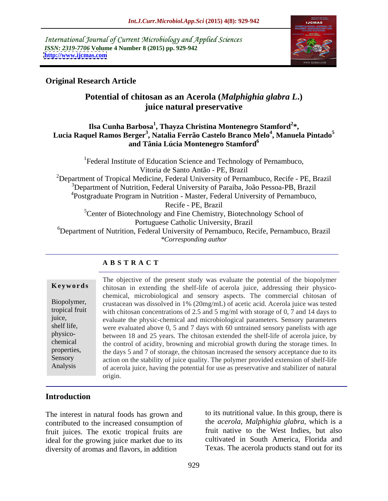International Journal of Current Microbiology and Applied Sciences *ISSN: 2319-7706* **Volume 4 Number 8 (2015) pp. 929-942 <http://www.ijcmas.com>**



# **Original Research Article**

# **Potential of chitosan as an Acerola (***Malphighia glabra L***.) juice natural preservative**

### **Ilsa Cunha Barbosa<sup>1</sup> , Thayza Christina Montenegro Stamford<sup>2</sup> \*, Lucia Raquel Ramos Berger<sup>3</sup> , Natalia Ferrão Castelo Branco Melo<sup>4</sup> , Manuela Pintado<sup>5</sup> and Tânia Lúcia Montenegro Stamford<sup>6</sup>**

<sup>1</sup>Federal Institute of Education Science and Technology of Pernambuco, Vitoria de Santo Antão - PE, Brazil <sup>2</sup>Department of Tropical Medicine, Federal University of Pernambuco, Recife - PE, Brazil <sup>3</sup>Department of Nutrition, Federal University of Paraiba, João Pessoa-PB, Brazil <sup>4</sup>Postgraduate Program in Nutrition - Master, Federal University of Pernambuco, Recife - PE, Brazil  ${}^{5}$ Center of Biotechnology and Fine Chemistry, Biotechnology School of Portuguese Catholic University, Brazil <sup>6</sup>Department of Nutrition, Federal University of Pernambuco, Recife, Pernambuco, Brazil *\*Corresponding author*

### **A B S T R A C T**

Analysis

The objective of the present study was evaluate the potential of the biopolymer **Keywords** chitosan in extending the shelf-life of acerola juice, addressing their physicochemical, microbiological and sensory aspects. The commercial chitosan of Biopolymer, crustacean was dissolved in 1% (20mg/mL) of acetic acid. Acerola juice was tested tropical fruit with chitosan concentrations of 2.5 and 5 mg/ml with storage of 0,  $\overline{7}$  and 14 days to evaluate the physic-chemical and microbiological parameters. Sensory parameters juice, shelf life, were evaluated above 0, 5 and 7 days with 60 untrained sensory panelists with age between 18 and 25 years. The chitosan extended the shelf-life of acerola juice, by physico chemical the control of acidity, browning and microbial growth during the storage times. In properties, the days 5 and 7 of storage, the chitosan increased the sensory acceptance due to its Sensory action on the stability of juice quality. The polymer provided extension of shelf-life of acerola juice, having the potential for use as preservative and stabilizer of natural origin.

# **Introduction**

The interest in natural foods has grown and contributed to the increased consumption of fruit juices. The exotic tropical fruits are ideal for the growing juice market due to its diversity of aromas and flavors, in addition

to its nutritional value. In this group, there is the *acerola, Malphighia glabra*, which is a fruit native to the West Indies, but also cultivated in South America, Florida and Texas. The acerola products stand out for its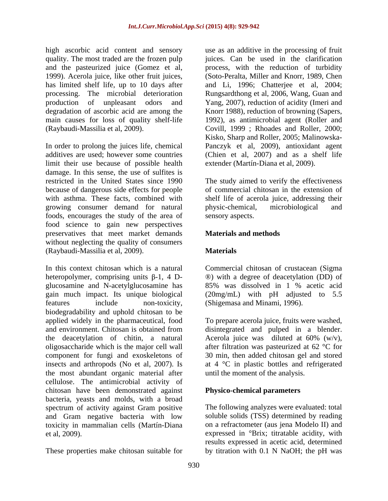quality. The most traded are the frozen pulp and the pasteurized juice (Gomez et al, has limited shelf life, up to 10 days after

limit their use because of possible health damage. In this sense, the use of sulfites is restricted in the United States since 1990 The study aimed to verify the effectiveness because of dangerous side effects for people with asthma. These facts, combined with shelf life of acerola juice, addressing their growing consumer demand for natural physic-chemical, microbiological and foods, encourages the study of the area of food science to gain new perspectives preservatives that meet market demands without neglecting the quality of consumers (Raybaudi-Massilia et al, 2009).

In this context chitosan which is a natural Commercial chitosan of crustacean (Sigma heteropolymer, comprising units  $\beta$ -1, 4 D- <sup>®</sup>) with a degree of deacetylation (DD) of glucosamine and N-acetylglucosamine has gain much impact. Its unique biological (20mg/mL) with pH adjusted to 5.5 features include non-toxicity, (Shigemasa and Minami, 1996). biodegradability and uphold chitosan to be applied widely in the pharmaceutical, food applied widely in the pharmaceutical, food To prepare acerola juice, fruits were washed, and environment. Chitosan is obtained from disintegrated and pulped in a blender. the deacetylation of chitin, a natural Acerola juice was diluted at  $60\%$  (w/v), oligosaccharide which is the major cell wall after filtration was pasteurized at 62 °C for component for fungi and exoskeletons of 30 min, then added chitosan gel and stored insects and arthropods (No et al, 2007). Is at 4 °C in plastic bottles and refrigerated the most abundant organic material after cellulose. The antimicrobial activity of chitosan have been demonstrated against bacteria, yeasts and molds, with a broad spectrum of activity against Gram positive and Gram negative bacteria with low toxicity in mammalian cells (Martín-Diana on a refractometer (aus jena Modelo II) and et al, 2009). expressed in °Brix; titratable acidity, with

These properties make chitosan suitable for by titration with 0.1 N NaOH; the pH was

high ascorbic acid content and sensory use as an additive in the processing of fruit 1999). Acerola juice, like other fruit juices, (Soto-Peralta, Miller and Knorr, 1989, Chen processing. The microbial deterioration Rungsardthong et al, 2006, Wang, Guan and production of unpleasant odors and Yang, 2007), reduction of acidity (Imeri and degradation of ascorbic acid are among the Knorr 1988), reduction of browning (Sapers, main causes for loss of quality shelf-life 1992), as antimicrobial agent (Roller and (Raybaudi-Massilia et al, 2009). Covill, 1999 ; Rhoades and Roller, 2000; In order to prolong the juices life, chemical Panczyk et al, 2009), antioxidant agent additives are used; however some countries (Chien et al, 2007) and as a shelf life juices. Can be used in the clarification process, with the reduction of turbidity and Li, 1996; Chatterjee et al, 2004; Kisko, Sharp and Roller, 2005; Malinowska extender (Martín-Diana et al, 2009).

> of commercial chitosan in the extension of physic-chemical, microbiological and sensory aspects.

# **Materials and methods**

# **Materials**

85% was dissolved in 1 % acetic acid

Acerola juice was diluted at 60% (w/v), until the moment of the analysis.

# **Physico-chemical parameters**

The following analyzes were evaluated: total soluble solids (TSS) determined by reading results expressed in acetic acid, determined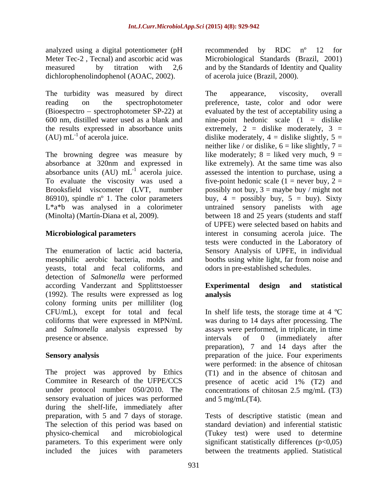analyzed using a digital potentiometer (pH arecommended by RDC n° 12 for dichlorophenolindophenol (AOAC, 2002).

The turbidity was measured by direct The appearance, viscosity, overall

L<sup>\*a\*b</sup> was analysed in a colorimeter untrained sensory panelists with age

yeasts, total and fecal coliforms, and detection of *Salmonella* were performed according Vanderzant and Spplittstoesser **Experimental design and statistical** (1992). The results were expressed as log colony forming units per milliliter (log CFU/mL), except for total and fecal presence or absence. The intervals of 0 (immediately after

The project was approved by Ethics (T1) and in the absence of chitosan and Commitee in Research of the UFPE/CCS presence of acetic acid 1% (T2) and under protocol number 050/2010. The concentrations of chitosan 2.5 mg/mL (T3) sensory evaluation of juices was performed during the shelf-life, immediately after preparation, with 5 and 7 days of storage. Tests of descriptive statistic (mean and The selection of this period was based on standard deviation) and inferential statistic physico-chemical and microbiological (Tukey test) were used to determine parameters. To this experiment were only significant statistically differences (p<0,05)

Meter Tec-2 , Tecnal) and ascorbic acid was Microbiological Standards (Brazil, 2001) measured by titration with 2,6 and by the Standards of Identity and Quality recommended by RDC nº 12 for of acerola juice (Brazil, 2000).

reading on the spectrophotometer preference, taste, color and odor were (Bioespectro – spectrophotometer SP-22) at evaluated by the test of acceptability using a 600 nm, distilled water used as a blank and nine-point hedonic scale (1 = dislike the results expressed in absorbance units extremely,  $2 =$  dislike moderately,  $3 =$ (AU) mL<sup>-1</sup> of acerola juice. dislike moderately,  $4 =$  dislike slightly,  $5 =$ The browning degree was measure by like moderately;  $8 =$  liked very much,  $9 =$ absorbance at 320nm and expressed in like extremely). At the same time was also absorbance units  $(AU)$  mL<sup>-1</sup> acerola juice. assessed the intention to purchase, using a To evaluate the viscosity was used a five-point hedonic scale  $(1 =$  never buy,  $2 =$ Brooksfield viscometer (LVT, number possibly not buy, 3 = maybe buy / might not 86910), spindle n<sup>o</sup> 1. The color parameters buy,  $4 =$  possibly buy,  $5 =$  buy). Sixty (Minolta) (Martín-Diana et al, 2009). between 18 and 25 years (students and staff **Microbiological parameters**  interest in consuming acerola juice. The The enumeration of lactic acid bacteria, Sensory Analysis of UPFE, in individual mesophilic aerobic bacteria, molds and booths using white light, far from noise and The appearance, viscosity, overall neither like / or dislike,  $6 =$  like slightly,  $7 =$ untrained sensory panelists with of UPFE) were selected based on habits and tests were conducted in the Laboratory of odors in pre-established schedules.

# **Experimental design and statistical analysis**

coliforms that were expressed in MPN/mL was during to 14 days after processing. The and *Salmonella* analysis expressed by assays were performed, in triplicate, in time **Sensory analysis**  preparation of the juice. Four experiments In shelf life tests, the storage time at  $4 \text{ }^{\circ}\text{C}$ intervals of 0 (immediately after preparation), 7 and 14 days after the were performed: in the absence of chitosan and  $5 \text{ mg/mL}$ (T4).

included the juices with parameters between the treatments applied. Statistical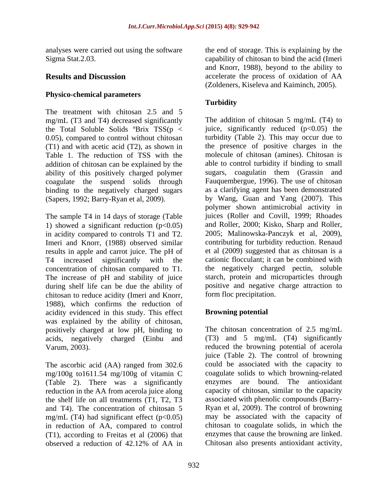analyses were carried out using the software

## **Physico-chemical parameters**

The treatment with chitosan 2.5 and 5 mg/mL (T3 and T4) decreased significantly the Total Soluble Solids  $\text{Brix}$  TSS(p < 0.05), compared to control without chitosan Table 1. The reduction of TSS with the addition of chitosan can be explained by the ability of this positively charged polymer coagulate the suspend solids through binding to the negatively charged sugars

The sample T4 in 14 days of storage (Table 1) showed a significant reduction  $(p<0.05)$ in acidity compared to controls T1 and T2. Imeri and Knorr, (1988) observed similar results in apple and carrot juice. The pH of concentration of chitosan compared to T1. The increase of pH and stability of juice during shelf life can be due the ability of chitosan to reduce acidity (Imeri and Knorr, form floc precipitation.<br>1988), which confirms the reduction of acidity evidenced in this study. This effect was explained by the ability of chitosan, positively charged at low pH, binding to acids, negatively charged (Einbu and

The ascorbic acid (AA) ranged from 302.6 mg/100g to1611.54 mg/100g of vitamin C (Table 2). There was a significantly reduction in the AA from acerola juice along the shelf life on all treatments (T1, T2, T3 and T4). The concentration of chitosan 5 mg/mL (T4) had significant effect  $(p<0.05)$ in reduction of AA, compared to control (T1), according to Freitas et al (2006) that observed a reduction of 42.12% of AA in

Sigma Stat.2.03. capability of chitosan to bind the acid (Imeri **Results and Discussion** accelerate the process of oxidation of AA the end of storage. This is explaining by the and Knorr, 1988), beyond to the ability to (Zoldeners, Kiseleva and Kaiminch, 2005).

# **Turbidity**

(T1) and with acetic acid (T2), as shown in the presence of positive charges in the (Sapers, 1992; Barry-Ryan et al, 2009). by Wang, Guan and Yang (2007). This T4 increased significantly with the cationic flocculant; it can be combined with The addition of chitosan 5 mg/mL (T4) to juice, significantly reduced  $(p<0.05)$  the turbidity (Table 2). This may occur due to molecule of chitosan (amines). Chitosan is able to control turbidity if binding to small sugars, coagulatin them (Grassin and Fauquembergue, 1996). The use of chitosan as a clarifying agent has been demonstrated polymer shown antimicrobial activity in juices (Roller and Covill, 1999; Rhoades and Roller, 2000; Kisko, Sharp and Roller, 2005; Malinowska-Panczyk et al, 2009), contributing for turbidity reduction. Renaud et al (2009) suggested that as chitosan is a the negatively charged pectin, soluble starch, protein and microparticles through positive and negative charge attraction to form floc precipitation.

### **Browning potential**

Varum, 2003). reduced the browning potential of acerola The chitosan concentration of 2.5 mg/mL (T3) and 5 mg/mL (T4) significantly juice (Table 2). The control of browning could be associated with the capacity to coagulate solids to which browning-related enzymes are bound. The antioxidant capacity of chitosan, similar to the capacity associated with phenolic compounds (Barry- Ryan et al, 2009). The control of browning may be associated with the capacity of chitosan to coagulate solids, in which the enzymes that cause the browning are linked. Chitosan also presents antioxidant activity,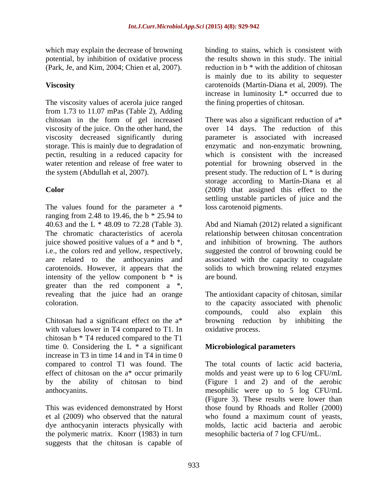potential, by inhibition of oxidative process (Park, Je, and Kim, 2004; Chien et al, 2007).

The viscosity values of acerola juice ranged from 1.73 to 11.07 mPas (Table 2), Adding chitosan in the form of gel increased

The values found for the parameter a \* ranging from 2.48 to 19.46, the b \* 25.94 to 40.63 and the L \* 48.09 to 72.28 (Table 3). Abd and Niamah (2012) related a significant The chromatic characteristics of acerola relationship between chitosan concentration juice showed positive values of a \* and b \*, i.e., the colors red and yellow, respectively, suggested the control of browning could be are related to the anthocyanins and associated with the capacity to coagulate carotenoids. However, it appears that the solids to which browning related enzymes intensity of the yellow component  $b * is$  are bound. greater than the red component a \*, revealing that the juice had an orange The antioxidant capacity of chitosan, similar

Chitosan had a significant effect on the a\* browning reduction by inhibiting the with values lower in T4 compared to T1. In chitosan b \* T4 reduced compared to the T1 time 0. Considering the  $L * a$  significant increase in T3 in time 14 and in T4 in time 0 compared to control T1 was found. The effect of chitosan on the a\* occur primarily molds and yeast were up to 6 log CFU/mL by the ability of chitosan to bind (Figure 1 and 2) and of the aerobic anthocyanins. mesophilic were up to 5 log CFU/mL

et al (2009) who observed that the natural dye anthocyanin interacts physically with molds, lactic acid bacteria and aerobic the polymeric matrix. Knorr (1983) in turn suggests that the chitosan is capable of

which may explain the decrease of browning binding to stains, which is consistent with **Viscosity** carotenoids (Martín-Diana et al, 2009). The the results shown in this study. The initial reduction in b \* with the addition of chitosan is mainly due to its ability to sequester increase in luminosity L\* occurred due to the fining properties of chitosan.

viscosity of the juice. On the other hand, the over 14 days. The reduction of this viscosity decreased significantly during parameter is associated with increased storage. This is mainly due to degradation of enzymatic and non-enzymatic browning, pectin, resulting in a reduced capacity for which is consistent with the increased water retention and release of free water to potential for browning observed in the the system (Abdullah et al, 2007).  $\qquad \qquad$  present study. The reduction of L  $*$  is during **Color**  (2009) that assigned this effect to the There was also a significant reduction of a\* storage according to Martín-Diana et al settling unstable particles of juice and the loss carotenoid pigments.

> and inhibition of browning. The authors are bound.

coloration. to the capacity associated with phenolic compounds, could also explain this oxidative process.

# **Microbiological parameters**

This was evidenced demonstrated by Horst those found by Rhoads and Roller (2000) The total counts of lactic acid bacteria, (Figure 3). These results were lower than who found a maximum count of yeasts,<br>molds, lactic acid bacteria and aerobic mesophilic bacteria of 7 log CFU/mL.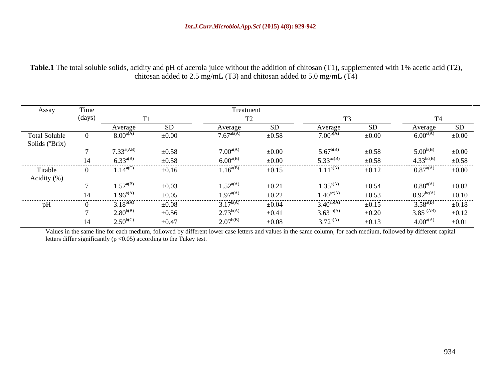**Table.1** The total soluble solids, acidity and pH of acerola juice without the addition of chitosan (T1), supplemented with 1% acetic acid (T2), chitosan added to 2.5 mg/mL (T3) and chitosan added to 5.0 mg/mL (T4)

|                      |       |                   |            | Treatment          |            |                       |            |                          |                 |
|----------------------|-------|-------------------|------------|--------------------|------------|-----------------------|------------|--------------------------|-----------------|
| Assay                | Time  |                   |            |                    |            |                       |            |                          |                 |
|                      | (davs |                   |            |                    |            |                       |            |                          |                 |
|                      |       | verage            |            |                    | SD.        | Average               | <b>SD</b>  | Average                  |                 |
| <b>Total Soluble</b> |       | $8.00^{a/A}$      | $\pm 0.00$ | $7.67^{\rm ab(r)}$ | $\pm 0.58$ | $7.00^{b(4)}$         | $\pm 0.00$ | $6.00^{\text{c(A)}}$     | $\pm 0.00$      |
| Solids (°Brix)       |       |                   |            |                    |            |                       |            |                          |                 |
|                      |       | $7.33^{a(AB)}$    | $\pm 0.58$ | $7.00^{a(A)}$      | $\pm 0.00$ | $5.67^{b(B)}$         | $\pm 0.58$ | $5.00^{b(B)}$            | $\pm 0.00$      |
|                      | 14    | $6.33^{a(B)}$     | $+0.58$    | 6.00 $^{a(B)}$     | $+0.00$    | 5.33 $^{ac(B)}$       | $+0.58$    | $4.33^{bc(B)}$           | $\pm 0.58$      |
|                      |       |                   | $\pm 0.16$ | --------           |            |                       | $\pm 0.12$ | $0.87^{a(A)}$ $\pm 0.00$ |                 |
| Titable              |       | $1.14^{\rm a(C)}$ |            | $1.16^{a(B)}$      | $\pm 0.15$ | $1.11^{a(A)}$         |            |                          |                 |
| Acidity $(\% )$      |       |                   |            |                    |            |                       |            |                          |                 |
|                      |       | $1.57^{a(B)}$     | $\pm 0.03$ | $1.52^{a(A)}$      | $\pm 0.21$ | $1.35^{a(A)}$         | $\pm 0.54$ | $0.88^{a(A)}$            | $\pm 0.02$      |
|                      |       | 1.96 $a(A)$       | $+0.05$    | $1.97^{a(A)}$      | $\pm 0.22$ | $1.40^{\rm ac(A)}$    | $+0.53$    | $0.92^{bc(A)}$           | $\pm 0.10$      |
| pH                   |       | $3.18^{b(A)}$     | $\pm 0.08$ | $3.17^{b(A)}$      | $\pm 0.04$ | $3.40^{ab(}$          | $\pm 0.15$ | $3.58^{a(B)}$            | .<br>$\pm 0.18$ |
|                      |       | $2.80^{b(B)}$     | $\pm 0.56$ | $2.73^{b(A)}$      | $\pm 0.41$ | $3.63^{\text{ab}(A)}$ | $\pm 0.20$ | $3.85^{a(AB)}$           | $\pm 0.12$      |
|                      | 14    | $2.50^{b(C)}$     | $\pm 0.47$ | $2.07^{b(B)}$      | $\pm 0.08$ | $3.72^{a(A)}$         | $\pm 0.13$ | $4.00^{a(A)}$            | $\pm 0.01$      |

Values in the same line for each medium, followed by different lower case letters and values in the same column, for each medium, followed by different capital letters differ significantly ( $p < 0.05$ ) according to the Tukey test.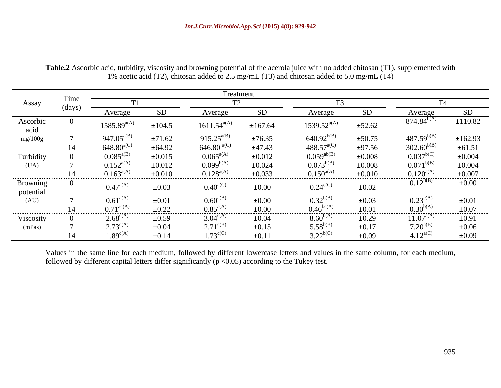|                       |        |                         |             | Treatment                              |             |                                                                             |             |                      |                                                     |
|-----------------------|--------|-------------------------|-------------|----------------------------------------|-------------|-----------------------------------------------------------------------------|-------------|----------------------|-----------------------------------------------------|
| Assay                 |        |                         |             |                                        |             |                                                                             |             |                      |                                                     |
|                       | (days) | Average                 |             | Average                                | SD          | Average                                                                     |             |                      | <b>SD</b>                                           |
| Ascorbic<br>acid      |        | $1585.89^{a(A)}$        | $\pm 104.5$ | $1611.54^{a(A)}$                       | ±167.64     | $1539.52^{a(A)}$                                                            | $\pm 52.62$ | $874.84^{b(1)}$      | ±110.82                                             |
| mg/100g               |        | $947.05^{a(E)}$         | ±71.62      | 915.25 <sup>a(B)</sup>                 | $\pm 76.35$ |                                                                             | $\pm 50.75$ | $487.59^{b(B)}$      | ±162.93                                             |
|                       |        | $648.80$ <sup>a('</sup> | ±64.92      | $\frac{646.80}{0.065}$ <sup>a(C)</sup> | ±47.43      | 640.92 <sup>b(B)</sup><br>488.57 <sup>a(C)</sup><br>0.059 <sup>ab</sup> (B) | $\pm 97.56$ | $302.60^{b(B)}$      | $\frac{\pm 61.51}{\pm 0.004}$                       |
| Turbidity             |        | $0.085^{a(B)}$          | $\pm 0.015$ |                                        | $\pm 0.012$ |                                                                             | $\pm 0.008$ | $0.037^{b(C)}$       |                                                     |
| (UA)                  |        | $0.152^{a(A)}$          | $\pm 0.012$ | $0.099^{b(A)}$                         | $\pm 0.024$ | $0.073^{b(B)}$                                                              | $\pm 0.008$ | $0.071^{b(B)}$       | $\pm 0.004$                                         |
|                       | 14     | $0.163^{a(A)}$          | $\pm 0.010$ | $0.128^{a(A)}$                         | $\pm 0.033$ | $0.150^{a(A)}$                                                              | $\pm 0.010$ | $0.120^{a(A)}$       | $\pm 0.007$                                         |
| Browning<br>potential |        | $0.47^{a(A)}$           | $\pm 0.03$  | $0.40^{a(C)}$                          | $\pm 0.00$  | $0.24^{\rm c(C)}$                                                           | $\pm 0.02$  | $0.12^{d(B)}$        | $\pm 0.00$                                          |
| (AU)                  |        | $0.61^{a(A)}$           | $\pm 0.01$  | $0.60^{a(B)}$                          | $\pm 0.00$  | $0.32^{b(B)}$                                                               | $\pm 0.03$  | $0.23^{\text{c(A)}}$ | $\pm 0.01$                                          |
|                       | 14     | $0.71^{\rm ac(A)}$      | $\pm 0.22$  | $0.85^{a(A)}$                          | $\pm 0.00$  | $0.46^{\rm bc(A)}$                                                          | $\pm 0.01$  | $0.30^{b(A)}$        |                                                     |
| Viscosity             |        | $2.68^{\text{c(A)}}$    | $\pm 0.59$  | $3.04^{\circ (1)}$                     | $\pm 0.04$  | $8.60^{b(A)}$                                                               | $\pm 0.29$  | $11.07^{a(A)}$       | $\begin{array}{r} \pm 0.07 \\ \pm 0.91 \end{array}$ |
| (mPas)                |        | $2.73^{\circ (4)}$      | $\pm 0.04$  | $2.71^{\text{c(B)}}$                   | $\pm 0.15$  | $5.58^{b(B)}$                                                               | $\pm 0.17$  | $7.20^{a(B)}$        | $\pm 0.06$                                          |
|                       | 14     | $1.89^{\text{c(A)}}$    | $\pm 0.14$  | $1.73^{\text{c(C)}}$                   | $\pm 0.11$  | $3.22^{b(C)}$                                                               | $\pm 0.09$  | $4.12^{a(C)}$        | $\pm 0.09$                                          |

**Table.2** Ascorbic acid, turbidity, viscosity and browning potential of the acerola juice with no added chitosan (T1), supplemented with 1% acetic acid (T2), chitosan added to 2.5 mg/mL (T3) and chitosan added to 5.0 mg/mL (T4)

Values in the same line for each medium, followed by different lowercase letters and values in the same column, for each medium, followed by different capital letters differ significantly  $(p < 0.05)$  according to the Tukey test.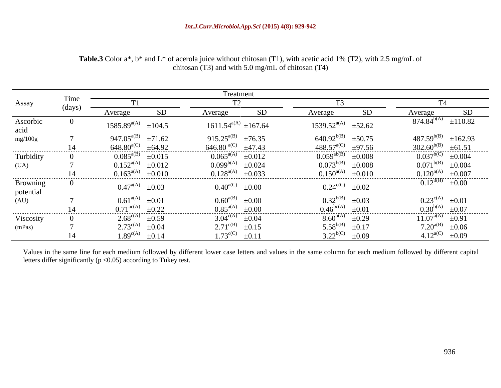|                               |        |                                                                                                 | Treatment                                                                                            |                                                                                      |                                                                                           |
|-------------------------------|--------|-------------------------------------------------------------------------------------------------|------------------------------------------------------------------------------------------------------|--------------------------------------------------------------------------------------|-------------------------------------------------------------------------------------------|
| Assay                         | l'ime  |                                                                                                 |                                                                                                      |                                                                                      |                                                                                           |
|                               | (days) | SD<br>Average                                                                                   | SD<br>Average                                                                                        | SD<br>Average                                                                        | $\frac{SD}{\pm 110.82}$<br>Average                                                        |
| Ascorbic<br>acid<br>mg/100g   |        | $1585.89^{a(A)}$<br>$\pm 104.5$                                                                 | $1611.54^{a(A)} \pm 167.64$                                                                          | $1539.52^{a(A)} \quad \pm 52.62$                                                     | $874.84^{b(A)}$                                                                           |
|                               |        | 947.05 $a(B)$<br>$\pm 71.62$<br>±64.92<br>$648.80^{\text{a(C)}}$                                | 915.25 <sup>a(B)</sup> $\pm$ 76.35<br>646.80 $\text{a(C)}$ $\pm$ 47.43                               | $640.92^{b(B)}$<br>$\pm 50.75$<br>$488.57^{\rm a(C)}$<br>$\pm 97.56$                 | $487.59^{b(B)} \pm 162.93$                                                                |
| Turbidity<br>(UA)             |        | $0.085^{a(B)}$<br>$\pm 0.015$<br>$0.152^{a(A)} \pm 0.012$                                       | $0.065^{a(A)}$<br>$\pm 0.012$<br>$0.099^{b(A)}$<br>$\pm 0.024$                                       | $0.059^{ab(B)}$<br>$\pm 0.008$<br>$0.073^{b(B)}$<br>$\pm 0.008$                      | $\frac{302.60^{b(B)} + 61.51}{0.037^{b(C)}} + 0.004$<br>0.071 <sup>b(B)</sup> $\pm 0.004$ |
|                               |        | $0.163^{a(A)} \pm 0.010$                                                                        | $0.128^{a(A)} \pm 0.033$                                                                             | $0.150^{a(A)} \pm 0.010$                                                             | $\frac{0.120^{a(A)}}{0.12^{d(B)}} \frac{\pm 0.007}{\pm 0.00}$                             |
| Browning<br>potential<br>(AU) |        | $0.47^{a(A)} \pm 0.03$                                                                          | $0.40^{a(C)}$<br>$\pm 0.00$                                                                          | $0.24^{\text{c(C)}} \quad \pm 0.02$                                                  |                                                                                           |
|                               |        | $0.61^{a(A)} \pm 0.01$<br>$0.71^{\text{ac(A)}} \pm 0.22$                                        | $0.60^{a(B)}$ $\pm 0.00$<br>$0.85^{a(A)}$<br>$\pm 0.00$                                              | $0.32^{b(B)} \pm 0.03$<br>$0.46^{\rm bc(A)}$<br>$\pm 0.01$                           | $0.23^{c(A)}$<br>$0.30^{b(A)}$<br>$11.07^{a(A)}$<br>$\pm 0.01$<br>$\pm 0.07$              |
| Viscosity<br>(mPas)           |        | $2.68^{\text{c(A)}} \pm 0.59$<br>$2.73^{\text{c(A)}} \pm 0.04$<br>$1.89^{\text{c(A)}} \pm 0.14$ | $3.04^{\text{c(A)}} \pm 0.04$<br>$2.71^{\text{c(B)}}$<br>$\pm 0.15$<br>$1.73^{\text{c(C)}} \pm 0.11$ | $8.60^{b(A)} \pm 0.29$<br>$5.58^{b(B)}$<br>$\pm 0.17$<br>$3.22^{b(C)}$<br>$\pm 0.09$ | $\pm 0.91$<br>7.20 <sup>a(B)</sup> $\pm 0.06$<br>4.12 <sup>a(C)</sup> $\pm 0.09$          |

# **Table.3** Color a\*, b\* and L\* of acerola juice without chitosan (T1), with acetic acid 1% (T2), with 2.5 mg/mL of chitosan (T3) and with 5.0 mg/mL of chitosan (T4)

Values in the same line for each medium followed by different lower case letters and values in the same column for each medium followed by different capital letters differ significantly ( $p < 0.05$ ) according to Tukey test.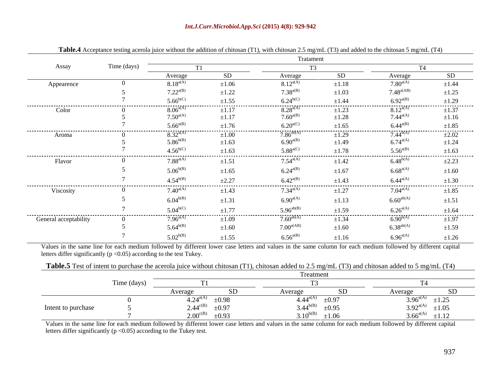### *Int.J.Curr.Microbiol.App.Sci* **(2015) 4(8): 929-942**

|                                  |             |                                   |            | Tratament          |                 |                                                     |                 |
|----------------------------------|-------------|-----------------------------------|------------|--------------------|-----------------|-----------------------------------------------------|-----------------|
|                                  |             |                                   |            |                    |                 |                                                     |                 |
| Assay                            | Time (days) | and the control of the control of |            |                    |                 | <b>Contract Contract Contract Contract Contract</b> |                 |
|                                  |             | Average                           | -SD.       | Average            | SD              | Average                                             | SD              |
| Appearence                       |             | $8.18^{a(A)}$                     | $\pm 1.06$ | $8.12^{a(A)}$      | $\pm 1.18$      | $7.80^{a(A)}$                                       | $\pm 1.44$      |
|                                  |             | $7.22^{\rm a(B)}$                 | $\pm 1.22$ | $7.38^{a(B)}$      | $\pm 1.03$      | $7.48^{\rm a(AB)}$                                  | $\pm 1.25$      |
|                                  |             | $5.66^{b(C)}$                     | $\pm 1.55$ | $6.24^{b(C)}$      | $\pm 1.44$      | $6.92^{a(B)}$                                       | $\pm 1.29$      |
| -----------------------<br>Color |             | $8.06^{a(A)}$                     | $\pm 1.17$ | $8.28^{a(A)}$      | $\pm 1.23$      | $8.12^{a(A)}$                                       | .<br>$\pm 1.37$ |
|                                  |             | $7.50^{\rm a(A)}$                 | $\pm 1.17$ | $7.60^{a(B)}$      | $\pm 1.28$      | $7.44^{\rm a(A)}$                                   | $\pm 1.16$      |
|                                  |             | $5.66^{a(B)}$                     | $\pm 1.76$ | $6.20^{a(C)}$      | $\pm 1.65$      | $6.44^{a(B)}$                                       | $\pm 1.85$      |
| .                                |             | $8.32^{a(A)}$                     |            | $7.86^{ab(A)}$     |                 | $7.44^{b(A)}$                                       | $\pm 2.02$      |
| Aroma                            |             | $5.86^{b(B)}$                     | $\pm 1.00$ |                    | $\pm 1.29$      | $6.74^{\rm a(A)}$                                   |                 |
|                                  |             |                                   | $\pm 1.63$ | $6.90^{a(B)}$      | $\pm 1.49$      |                                                     | $\pm 1.24$      |
|                                  |             | $4.56^{b(C)}$                     | ±1.63      | $5.88^{\rm a(C)}$  | $\pm 1.78$      | $5.56^{a(B)}$                                       | $\pm 1.63$<br>. |
| Flavor                           |             | $7.88^{a(A)}$                     | $\pm 1.51$ | $7.54^{\rm a(A)}$  | $\pm 1.42$      | $6.48^{b(A)}$                                       | $\pm 2.23$      |
|                                  |             | $5.06^{b(B)}$                     | $\pm 1.65$ | $6.24^{a(B)}$      | $\pm 1.67$      | $6.68^{a(A)}$                                       | $\pm 1.60$      |
|                                  |             |                                   |            |                    |                 |                                                     |                 |
|                                  |             | $4.54^{b(B)}$                     | $\pm 2.27$ | $6.42^{a(B)}$<br>. | $\pm 1.43$<br>. | $6.44^{a(A)}$<br>.                                  | $\pm 1.30$<br>. |
| Viscosity                        |             | $7.40^{a(A)}$                     | $\pm 1.43$ | $7.34^{\rm a(A)}$  | $\pm 1.27$      | $7.04^{\rm a(A)}$                                   | $\pm 1.85$      |
|                                  |             | $6.04^{b(B)}$                     | $\pm 1.31$ | $6.90^{a(A)}$      | $\pm 1.13$      | $6.60^{ab(A)}$                                      | $\pm 1.51$      |
|                                  |             | $5.04^{b(C)}$                     | $\pm 1.77$ | $5.96^{ab(B)}$     | $\pm 1.59$      | $6.26^{a(A)}$                                       | $\pm 1.64$      |
| -----------------------------    |             |                                   |            |                    |                 | $6.90^{b(A)}$                                       | .               |
| General acceptability            |             | $7.96^{a(A)}$                     | $\pm 1.09$ | $7.60^{ab(A)}$     | $\pm 1.34$      |                                                     | $\pm 1.97$      |
|                                  |             | $5.64^{b(B)}$                     | $\pm 1.60$ | $7.00^{a(AB)}$     | $\pm 1.60$      | $6.38^{ab(A)}$                                      | $\pm 1.59$      |
|                                  |             | $5.02^{b(B)}$                     | ±1.55      | $6.56^{a(B)}$      | $\pm 1.16$      | $6.96^{a(A)}$                                       | ±1.26           |

| Table.4 Accept.<br>chitosan<br>$\therefore$ without the addition<br>$371^{\rm th}$<br>$\sim$ and the test and accroignment in $\sim$<br>$m$ tonc<br>chitosan | $\sim$ (T3) and added to the chitosan 5 mg/<br>ں mg/mL د'<br>ջ/mL |  |
|--------------------------------------------------------------------------------------------------------------------------------------------------------------|-------------------------------------------------------------------|--|
|                                                                                                                                                              |                                                                   |  |

Values in the same line for each medium followed by different lower case letters and values in the same column for each medium followed by different capital letters differ significantly ( $p < 0.05$ ) according to the test Tukey.

**Table.5** Test of intent to purchase the acerola juice without chitosan (T1), chitosan added to 2.5 mg/mL (T3) and chitosan added to 5 mg/mL (T4)

|                    | $\sim$ $\sim$ $\sim$ $\sim$ |                                 |                                    |                                                                                                                                                  |
|--------------------|-----------------------------|---------------------------------|------------------------------------|--------------------------------------------------------------------------------------------------------------------------------------------------|
|                    |                             | Average                         |                                    |                                                                                                                                                  |
|                    |                             | $4.24^{\rm a(A)}$<br>$\pm 0.98$ | $4.44^{\text{a(A)}}$<br>$\pm 0.97$ | O(A A)<br>$\pm 1.25$                                                                                                                             |
| Intent to purchase |                             | $\pm 0.97$<br>$2.44^{\rm c(B)}$ | $3.44^{b(B)}$<br>$\pm 0.95$        | $\pm 1.05$<br>$3.92^{a(A)}$                                                                                                                      |
|                    |                             | $\pm 0.93$<br>2.00 $c(B)$       | 10<<br>$1 \bigwedge b(B)$          | ±1.12<br>3.66 <sup>a(A)</sup><br>the contract of the contract of the contract of the contract of the contract of the contract of the contract of |

Values in the same line for each medium followed by different lower case letters and values in the same column for each medium followed by different capital letters differ significantly ( $p < 0.05$ ) according to the Tukey test.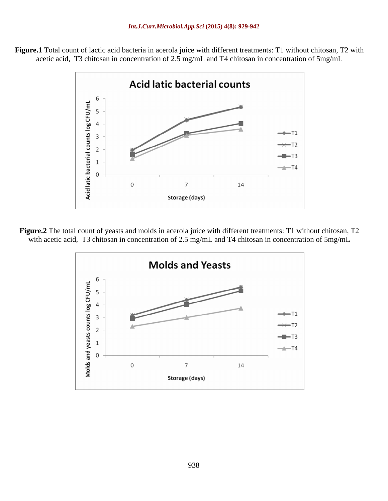



**Figure.2** The total count of yeasts and molds in acerola juice with different treatments: T1 without chitosan, T2 with acetic acid, T3 chitosan in concentration of 2.5 mg/mL and T4 chitosan in concentration of 5mg/mL

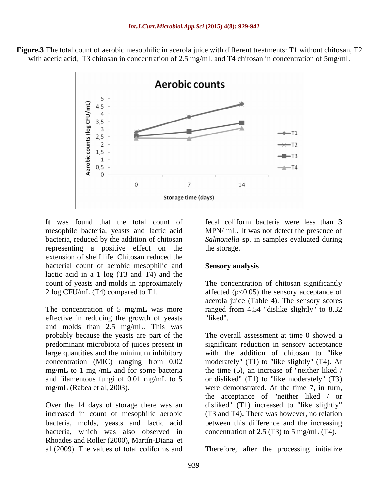

**Figure.3** The total count of aerobic mesophilic in acerola juice with different treatments: T1 without chitosan, T2 with acetic acid, T3 chitosan in concentration of 2.5 mg/mL and T4 chitosan in concentration of 5mg/mL

It was found that the total count of fecal coliform bacteria were less than 3 mesophilc bacteria, yeasts and lactic acid MPN/ mL. It was not detect the presence of bacteria, reduced by the addition of chitosan *Salmonella* sp. in samples evaluated during representing a positive effect on the the storage. extension of shelf life. Chitosan reduced the bacterial count of aerobic mesophilic and lactic acid in a 1 log (T3 and T4) and the count of yeasts and molds in approximately The concentration of chitosan significantly 2 log CFU/mL (T4) compared to T1. affected (p<0.05) the sensory acceptance of

The concentration of 5 mg/mL was more ranged from 4.54 "dislike slightly" to 8.32 effective in reducing the growth of yeasts "liked". and molds than 2.5 mg/mL. This was probably because the yeasts are part of the predominant microbiota of juices present in significant reduction in sensory acceptance large quantities and the minimum inhibitory with the addition of chitosan to "like concentration (MIC) ranging from 0.02 moderately" (T1) to "like slightly" (T4). At mg/mL to 1 mg /mL and for some bacteria the time (5), an increase of "neither liked / and filamentous fungi of 0.01 mg/mL to 5 or disliked" (T1) to "like moderately" (T3)

Over the 14 days of storage there was an increased in count of mesophilic aerobic bacteria, molds, yeasts and lactic acid bacteria, which was also observed in Rhoades and Roller (2000), Martín-Diana et al (2009). The values of total coliforms and Therefore, after the processing initialize

the storage.

### **Sensory analysis**

acerola juice (Table 4). The sensory scores "liked".

mg/mL (Rabea et al, 2003). were demonstrated. At the time 7, in turn, The overall assessment at time 0 showed a the acceptance of "neither liked / or disliked" (T1) increased to "like slightly" (T3 and T4). There was however, no relation between this difference and the increasing concentration of 2.5 (T3) to 5 mg/mL (T4).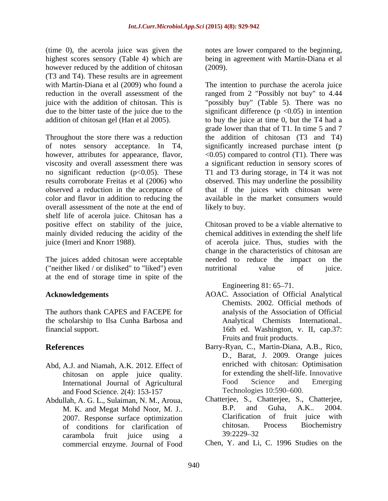(time 0), the acerola juice was given the highest scores sensory (Table 4) which are being in agreement with Martín-Diana et al however reduced by the addition of chitosan (2009). (T3 and T4). These results are in agreement

Throughout the store there was a reduction however, attributes for appearance, flavor, no significant reduction  $(p<0.05)$ . These overall assessment of the note at the end of shelf life of acerola juice. Chitosan has a positive effect on stability of the juice, Chitosan proved to be a viable alternative to mainly divided reducing the acidity of the chemical additives in extending the shelf life juice (Imeri and Knorr 1988). of acerola juice. Thus, studies with the

The juices added chitosan were acceptable ("neither liked / or disliked" to "liked") even at the end of storage time in spite of the

The authors thank CAPES and FACEPE for the scholarship to Ilsa Cunha Barbosa and

- Abd, A.J. and Niamah, A.K. 2012. Effect of chitosan on apple juice quality. for extending the<br>International Journal of Agricultural Food Science and Food Science. 2(4): 153-157
- M. K. and Megat Mohd Noor, M. J.. of conditions for clarification of chitosan.<br>
carambola fruit injectures is a condition of 39:2229–32 carambola fruit juice using a commercial enzyme. Journal of Food

notes are lower compared to the beginning, (2009).

with Martín-Diana et al (2009) who found a The intention to purchase the acerola juice reduction in the overall assessment of the ranged from 2 "Possibly not buy" to 4.44 juice with the addition of chitosan. This is "possibly buy" (Table 5). There was no due to the bitter taste of the juice due to the significant difference (p <0.05) in intention addition of chitosan gel (Han et al 2005). to buy the juice at time 0, but the T4 had a of notes sensory acceptance. In T4, significantly increased purchase intent (p viscosity and overall assessment there was a significant reduction in sensory scores of results corroborate Freitas et al (2006) who observed. This may underline the possibility observed a reduction in the acceptance of that if the juices with chitosan were color and flavor in addition to reducing the available in the market consumers would grade lower than that of T1. In time 5 and 7 the addition of chitosan (T3 and T4)  $\leq 0.05$ ) compared to control (T1). There was T1 and T3 during storage, in T4 it was not likely to buy.

> change in the characteristics of chitosan are needed to reduce the impact on the nutritional value of juice.

Engineering  $81: 65-71$ .

- **Acknowledgements** AOAC. Association of Official Analytical financial support. 16th ed. Washington, v. II, cap.37: Chemists. 2002. Official methods of analysis of the Association of Official Analytical Chemists International.*.* Fruits and fruit products.
- **References** Barry-Ryan, C., Martin-Diana, A.B., Rico, International Journal of Agricultural Food Science and Emerging<br>and Food Science 2(4): 153-157 Technologies 10:590–600. D., Barat, J. 2009. Orange juices enriched with chitosan: Optimisation for extending the shelf-life. Innovative Food Science and Emerging Technologies 10:590–600.
- Abdullah, A. G. L., Sulaiman, N. M., Aroua, Chatterjee, S., Chatterjee, S., Chatterjee, M. K. and Megat Mohd Noor M. I. B.P. and Guha, A.K., 2004. 2007. Response surface optimization<br>of conditions for clarification of the chitosan. Process Biochemistry Chatterjee, S., Chatterjee, S., Chatterjee, B.P. and Guha, A.K.. 2004. Clarification of fruit juice with chitosan. Process Biochemistry 39:2229 32

Chen, Y. and Li, C. 1996 Studies on the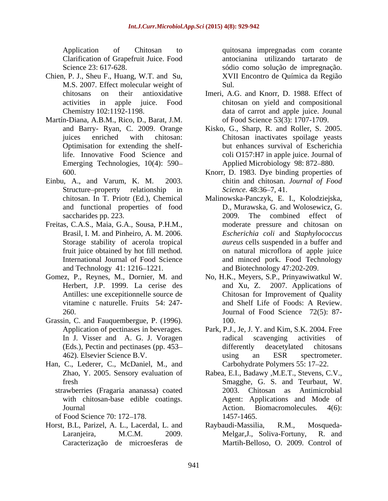- Chien, P. J., Sheu F., Huang, W.T. and Su, M.S. 2007. Effect molecular weight of
- Martín-Diana, A.B.M., Rico, D., Barat, J.M. Optimisation for extending the shelf-Emerging Technologies*,* 10(4): 590
- and functional properties of food
- Storage stability of acerola tropical and Technology 41: 1216–1221.
- 
- Grassin, C. and Fauquembergue, P. (1996). 100.
- Han, C., Lederer, C., McDaniel, M., and
	-
	-
- Horst, B.L, Parizel, A. L., Lacerdal, L. and Caracterização de microesferas de

Application of Chitosan to quitosana impregnadas com corante Clarification of Grapefruit Juice. Food antocianina utilizando tartarato de Science 23: 617-628. sódio como solução de impregnação. quitosana impregnadas com corante XVII Encontro de Química da Região Sul*.*

- chitosans on their antioxidative Imeri, A.G. and Knorr, D. 1988. Effect of activities in apple juice. Food chitosan on yield and compositional Chemistry 102:1192-1198. data of carrot and apple juice. Jounal of Food Science 53(3): 1707-1709.
- and Barry- Ryan, C. 2009. Orange Kisko, G., Sharp, R. and Roller, S. 2005. juices enriched with chitosan: Chitosan inactivates spoilage yeasts life. Innovative Food Science and coli O157:H7 in apple juice. Journal of but enhances survival of Escherichia Applied Microbiology 98: 872–880.
- 600. Knorr, D. 1983. Dye binding properties of Einbu, A., and Varum, K. M. 2003. chitin and chitosan. *Journal of Food* Structure–property relationship in Science. 48:36–7, 41. *Science.* 48:36–7, 41.
- chitosan. In T. Priotr (Ed.), Chemical Malinowska-Panczyk, E. I., Kolodziejska, saccharides pp. 223. 2009. The combined effect of Freitas, C.A.S., Maia, G.A., Sousa, P.H.M., moderate pressure and chitosan on Brasil, I. M. and Pinheiro, A. M. 2006. *Escherichia coli* and *Staphylococcus* fruit juice obtained by hot fill method*.* on natural microflora of apple juice International Journal of Food Science and minced pork. Food Technology D., Murawska, G. and Wolosewicz, G. 2009. The combined effect of moderate pressure and chitosan on *Escherichia coli* and *Staphylococcus aureus* cells suspended in a buffer and and Biotechnology 47:202-209.
- Gomez, P., Reynes, M., Dornier, M. and No, H.K., Meyers, S.P., Prinyawiwatkul W. Herbert, J.P. 1999. La cerise des and Xu, Z. 2007. Applications of Antilles: une excepitionnelle source de Chitosan for Improvement of Quality vitamine c naturelle. Fruits 54: 247- and Shelf Life of Foods: A Review. 260. Journal of Food Science 72(5): 87 and Shelf Life of Foods: A Review. 100.
	- Application of pectinases in beverages. Park, P.J., Je, J. Y. and Kim, S.K. 2004. Free In J. Visser and A. G. J. Voragen activities of radical scavenging activities of (Eds.), Pectin and pectinases (pp. 453– differently deacetylated chitosans 462). Elsevier Science B.V. radical scavenging activities of differently deacetylated chitosans using an ESR spectrometer. Carbohydrate Polymers 55: 17–22.
- Zhao, Y. 2005. Sensory evaluation of Rabea, E.I., Badawy ,M.E.T., Stevens, C.V., fresh Smagghe, G. S. and Teurbaut, W. strawberries (Fragaria ananassa) coated with chitosan-base edible coatings. Agent: Applications and Mode of Journal Action. Biomacromolecules*.* 4(6): of Food Science 70: 172–178. 1457-1465. 2003. Chitosan as Antimicrobial 1457-1465.
	- Laranjeira, M.C.M. 2009. Melgar, J., Soliva-Fortuny, R. and Raybaudi-Massilia, R.M., Mosqueda- Melgar,J., Soliva-Fortuny, R. and Martih-Belloso, O. 2009. Control of